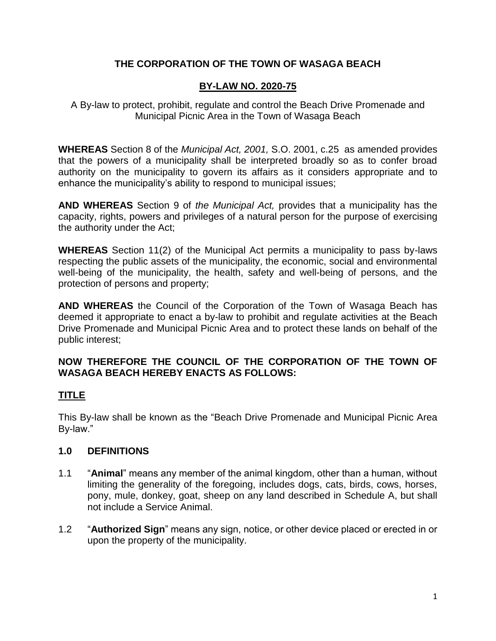# **THE CORPORATION OF THE TOWN OF WASAGA BEACH**

## **BY-LAW NO. 2020-75**

A By-law to protect, prohibit, regulate and control the Beach Drive Promenade and Municipal Picnic Area in the Town of Wasaga Beach

**WHEREAS** Section 8 of the *Municipal Act, 2001,* S.O. 2001, c.25 as amended provides that the powers of a municipality shall be interpreted broadly so as to confer broad authority on the municipality to govern its affairs as it considers appropriate and to enhance the municipality's ability to respond to municipal issues;

**AND WHEREAS** Section 9 of *the Municipal Act,* provides that a municipality has the capacity, rights, powers and privileges of a natural person for the purpose of exercising the authority under the Act;

**WHEREAS** Section 11(2) of the Municipal Act permits a municipality to pass by-laws respecting the public assets of the municipality, the economic, social and environmental well-being of the municipality, the health, safety and well-being of persons, and the protection of persons and property;

**AND WHEREAS** the Council of the Corporation of the Town of Wasaga Beach has deemed it appropriate to enact a by-law to prohibit and regulate activities at the Beach Drive Promenade and Municipal Picnic Area and to protect these lands on behalf of the public interest;

## **NOW THEREFORE THE COUNCIL OF THE CORPORATION OF THE TOWN OF WASAGA BEACH HEREBY ENACTS AS FOLLOWS:**

# **TITLE**

This By-law shall be known as the "Beach Drive Promenade and Municipal Picnic Area By-law."

# **1.0 DEFINITIONS**

- 1.1 "**Animal**" means any member of the animal kingdom, other than a human, without limiting the generality of the foregoing, includes dogs, cats, birds, cows, horses, pony, mule, donkey, goat, sheep on any land described in Schedule A, but shall not include a Service Animal.
- 1.2 "**Authorized Sign**" means any sign, notice, or other device placed or erected in or upon the property of the municipality.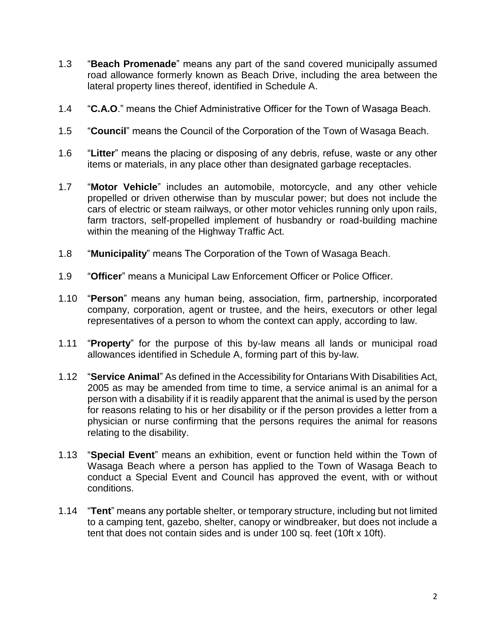- 1.3 "**Beach Promenade**" means any part of the sand covered municipally assumed road allowance formerly known as Beach Drive, including the area between the lateral property lines thereof, identified in Schedule A.
- 1.4 "**C.A.O**." means the Chief Administrative Officer for the Town of Wasaga Beach.
- 1.5 "**Council**" means the Council of the Corporation of the Town of Wasaga Beach.
- 1.6 "**Litter**" means the placing or disposing of any debris, refuse, waste or any other items or materials, in any place other than designated garbage receptacles.
- 1.7 "**Motor Vehicle**" includes an automobile, motorcycle, and any other vehicle propelled or driven otherwise than by muscular power; but does not include the cars of electric or steam railways, or other motor vehicles running only upon rails, farm tractors, self-propelled implement of husbandry or road-building machine within the meaning of the Highway Traffic Act.
- 1.8 "**Municipality**" means The Corporation of the Town of Wasaga Beach.
- 1.9 "**Officer**" means a Municipal Law Enforcement Officer or Police Officer.
- 1.10 "**Person**" means any human being, association, firm, partnership, incorporated company, corporation, agent or trustee, and the heirs, executors or other legal representatives of a person to whom the context can apply, according to law.
- 1.11 "**Property**" for the purpose of this by-law means all lands or municipal road allowances identified in Schedule A, forming part of this by-law.
- 1.12 "**Service Animal**" As defined in the Accessibility for Ontarians With Disabilities Act, 2005 as may be amended from time to time, a service animal is an animal for a person with a disability if it is readily apparent that the animal is used by the person for reasons relating to his or her disability or if the person provides a letter from a physician or nurse confirming that the persons requires the animal for reasons relating to the disability.
- 1.13 "**Special Event**" means an exhibition, event or function held within the Town of Wasaga Beach where a person has applied to the Town of Wasaga Beach to conduct a Special Event and Council has approved the event, with or without conditions.
- 1.14 "**Tent**" means any portable shelter, or temporary structure, including but not limited to a camping tent, gazebo, shelter, canopy or windbreaker, but does not include a tent that does not contain sides and is under 100 sq. feet (10ft x 10ft).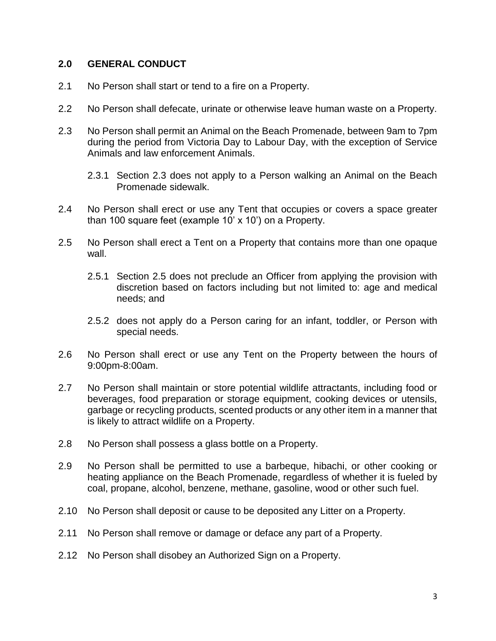### **2.0 GENERAL CONDUCT**

- 2.1 No Person shall start or tend to a fire on a Property.
- 2.2 No Person shall defecate, urinate or otherwise leave human waste on a Property.
- 2.3 No Person shall permit an Animal on the Beach Promenade, between 9am to 7pm during the period from Victoria Day to Labour Day, with the exception of Service Animals and law enforcement Animals.
	- 2.3.1 Section 2.3 does not apply to a Person walking an Animal on the Beach Promenade sidewalk.
- 2.4 No Person shall erect or use any Tent that occupies or covers a space greater than 100 square feet (example 10' x 10') on a Property.
- 2.5 No Person shall erect a Tent on a Property that contains more than one opaque wall.
	- 2.5.1 Section 2.5 does not preclude an Officer from applying the provision with discretion based on factors including but not limited to: age and medical needs; and
	- 2.5.2 does not apply do a Person caring for an infant, toddler, or Person with special needs.
- 2.6 No Person shall erect or use any Tent on the Property between the hours of 9:00pm-8:00am.
- 2.7 No Person shall maintain or store potential wildlife attractants, including food or beverages, food preparation or storage equipment, cooking devices or utensils, garbage or recycling products, scented products or any other item in a manner that is likely to attract wildlife on a Property.
- 2.8 No Person shall possess a glass bottle on a Property.
- 2.9 No Person shall be permitted to use a barbeque, hibachi, or other cooking or heating appliance on the Beach Promenade, regardless of whether it is fueled by coal, propane, alcohol, benzene, methane, gasoline, wood or other such fuel.
- 2.10 No Person shall deposit or cause to be deposited any Litter on a Property.
- 2.11 No Person shall remove or damage or deface any part of a Property.
- 2.12 No Person shall disobey an Authorized Sign on a Property.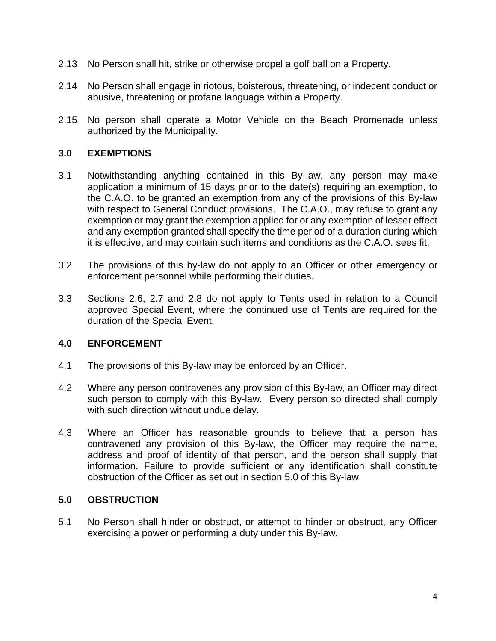- 2.13 No Person shall hit, strike or otherwise propel a golf ball on a Property.
- 2.14 No Person shall engage in riotous, boisterous, threatening, or indecent conduct or abusive, threatening or profane language within a Property.
- 2.15 No person shall operate a Motor Vehicle on the Beach Promenade unless authorized by the Municipality.

## **3.0 EXEMPTIONS**

- 3.1 Notwithstanding anything contained in this By-law, any person may make application a minimum of 15 days prior to the date(s) requiring an exemption, to the C.A.O. to be granted an exemption from any of the provisions of this By-law with respect to General Conduct provisions. The C.A.O., may refuse to grant any exemption or may grant the exemption applied for or any exemption of lesser effect and any exemption granted shall specify the time period of a duration during which it is effective, and may contain such items and conditions as the C.A.O. sees fit.
- 3.2 The provisions of this by-law do not apply to an Officer or other emergency or enforcement personnel while performing their duties.
- 3.3 Sections 2.6, 2.7 and 2.8 do not apply to Tents used in relation to a Council approved Special Event, where the continued use of Tents are required for the duration of the Special Event.

### **4.0 ENFORCEMENT**

- 4.1 The provisions of this By-law may be enforced by an Officer.
- 4.2 Where any person contravenes any provision of this By-law, an Officer may direct such person to comply with this By-law. Every person so directed shall comply with such direction without undue delay.
- 4.3 Where an Officer has reasonable grounds to believe that a person has contravened any provision of this By-law, the Officer may require the name, address and proof of identity of that person, and the person shall supply that information. Failure to provide sufficient or any identification shall constitute obstruction of the Officer as set out in section 5.0 of this By-law.

### **5.0 OBSTRUCTION**

5.1 No Person shall hinder or obstruct, or attempt to hinder or obstruct, any Officer exercising a power or performing a duty under this By-law.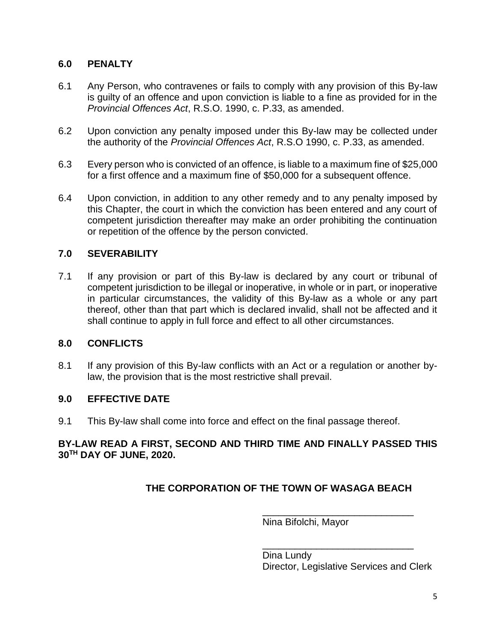## **6.0 PENALTY**

- 6.1 Any Person, who contravenes or fails to comply with any provision of this By-law is guilty of an offence and upon conviction is liable to a fine as provided for in the *Provincial Offences Act*, R.S.O. 1990, c. P.33, as amended.
- 6.2 Upon conviction any penalty imposed under this By-law may be collected under the authority of the *Provincial Offences Act*, R.S.O 1990, c. P.33, as amended.
- 6.3 Every person who is convicted of an offence, is liable to a maximum fine of \$25,000 for a first offence and a maximum fine of \$50,000 for a subsequent offence.
- 6.4 Upon conviction, in addition to any other remedy and to any penalty imposed by this Chapter, the court in which the conviction has been entered and any court of competent jurisdiction thereafter may make an order prohibiting the continuation or repetition of the offence by the person convicted.

## **7.0 SEVERABILITY**

7.1 If any provision or part of this By-law is declared by any court or tribunal of competent jurisdiction to be illegal or inoperative, in whole or in part, or inoperative in particular circumstances, the validity of this By-law as a whole or any part thereof, other than that part which is declared invalid, shall not be affected and it shall continue to apply in full force and effect to all other circumstances.

### **8.0 CONFLICTS**

8.1 If any provision of this By-law conflicts with an Act or a regulation or another bylaw, the provision that is the most restrictive shall prevail.

### **9.0 EFFECTIVE DATE**

9.1 This By-law shall come into force and effect on the final passage thereof.

### **BY-LAW READ A FIRST, SECOND AND THIRD TIME AND FINALLY PASSED THIS 30TH DAY OF JUNE, 2020.**

# **THE CORPORATION OF THE TOWN OF WASAGA BEACH**

Nina Bifolchi, Mayor

Dina Lundy Director, Legislative Services and Clerk

\_\_\_\_\_\_\_\_\_\_\_\_\_\_\_\_\_\_\_\_\_\_\_\_\_\_\_\_

\_\_\_\_\_\_\_\_\_\_\_\_\_\_\_\_\_\_\_\_\_\_\_\_\_\_\_\_